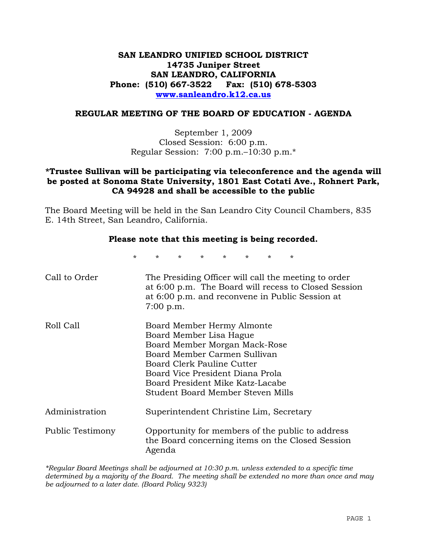# **SAN LEANDRO UNIFIED SCHOOL DISTRICT 14735 Juniper Street SAN LEANDRO, CALIFORNIA Phone: (510) 667-3522 Fax: (510) 678-5303 www.sanleandro.k12.ca.us**

#### **REGULAR MEETING OF THE BOARD OF EDUCATION - AGENDA**

September 1, 2009 Closed Session: 6:00 p.m. Regular Session: 7:00 p.m.–10:30 p.m.\*

## **\*Trustee Sullivan will be participating via teleconference and the agenda will be posted at Sonoma State University, 1801 East Cotati Ave., Rohnert Park, CA 94928 and shall be accessible to the public**

The Board Meeting will be held in the San Leandro City Council Chambers, 835 E. 14th Street, San Leandro, California.

#### **Please note that this meeting is being recorded.**

\* \* \* \* \* \* \* \*

| Call to Order    | The Presiding Officer will call the meeting to order<br>at 6:00 p.m. The Board will recess to Closed Session<br>at 6:00 p.m. and reconvene in Public Session at<br>$7:00$ p.m.                                                                                    |
|------------------|-------------------------------------------------------------------------------------------------------------------------------------------------------------------------------------------------------------------------------------------------------------------|
| Roll Call        | Board Member Hermy Almonte<br>Board Member Lisa Hague<br>Board Member Morgan Mack-Rose<br>Board Member Carmen Sullivan<br>Board Clerk Pauline Cutter<br>Board Vice President Diana Prola<br>Board President Mike Katz-Lacabe<br>Student Board Member Steven Mills |
| Administration   | Superintendent Christine Lim, Secretary                                                                                                                                                                                                                           |
| Public Testimony | Opportunity for members of the public to address<br>the Board concerning items on the Closed Session<br>Agenda                                                                                                                                                    |

*\*Regular Board Meetings shall be adjourned at 10:30 p.m. unless extended to a specific time determined by a majority of the Board. The meeting shall be extended no more than once and may be adjourned to a later date. (Board Policy 9323)*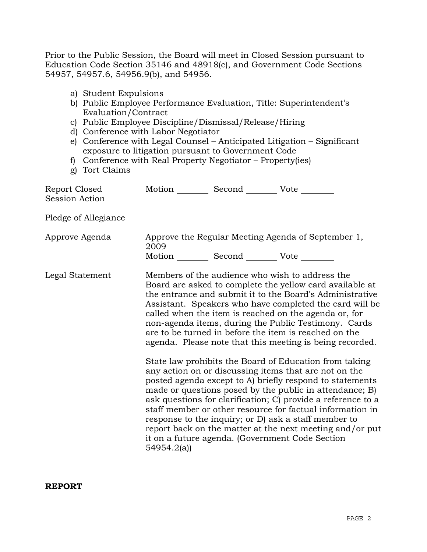Prior to the Public Session, the Board will meet in Closed Session pursuant to Education Code Section 35146 and 48918(c), and Government Code Sections 54957, 54957.6, 54956.9(b), and 54956.

- a) Student Expulsions
- b) Public Employee Performance Evaluation, Title: Superintendent's Evaluation/Contract
- c) Public Employee Discipline/Dismissal/Release/Hiring
- d) Conference with Labor Negotiator
- e) Conference with Legal Counsel Anticipated Litigation Significant exposure to litigation pursuant to Government Code
- f) Conference with Real Property Negotiator Property(ies)
- g) Tort Claims

| Report Closed<br>Session Action | Motion __________ Second __________ Vote ________ |                                                                                                                                                                                                                                                                                                                                                                                                                                                                                                                                                                                                                                                                                                                                                                                                                                                                                                                                                                                                                        |
|---------------------------------|---------------------------------------------------|------------------------------------------------------------------------------------------------------------------------------------------------------------------------------------------------------------------------------------------------------------------------------------------------------------------------------------------------------------------------------------------------------------------------------------------------------------------------------------------------------------------------------------------------------------------------------------------------------------------------------------------------------------------------------------------------------------------------------------------------------------------------------------------------------------------------------------------------------------------------------------------------------------------------------------------------------------------------------------------------------------------------|
| Pledge of Allegiance            |                                                   |                                                                                                                                                                                                                                                                                                                                                                                                                                                                                                                                                                                                                                                                                                                                                                                                                                                                                                                                                                                                                        |
| Approve Agenda                  | 2009                                              | Approve the Regular Meeting Agenda of September 1,                                                                                                                                                                                                                                                                                                                                                                                                                                                                                                                                                                                                                                                                                                                                                                                                                                                                                                                                                                     |
|                                 | Motion __________ Second __________ Vote ________ |                                                                                                                                                                                                                                                                                                                                                                                                                                                                                                                                                                                                                                                                                                                                                                                                                                                                                                                                                                                                                        |
| Legal Statement                 | 54954.2(a)                                        | Members of the audience who wish to address the<br>Board are asked to complete the yellow card available at<br>the entrance and submit it to the Board's Administrative<br>Assistant. Speakers who have completed the card will be<br>called when the item is reached on the agenda or, for<br>non-agenda items, during the Public Testimony. Cards<br>are to be turned in before the item is reached on the<br>agenda. Please note that this meeting is being recorded.<br>State law prohibits the Board of Education from taking<br>any action on or discussing items that are not on the<br>posted agenda except to A) briefly respond to statements<br>made or questions posed by the public in attendance; B)<br>ask questions for clarification; C) provide a reference to a<br>staff member or other resource for factual information in<br>response to the inquiry; or D) ask a staff member to<br>report back on the matter at the next meeting and/or put<br>it on a future agenda. (Government Code Section |

**REPORT**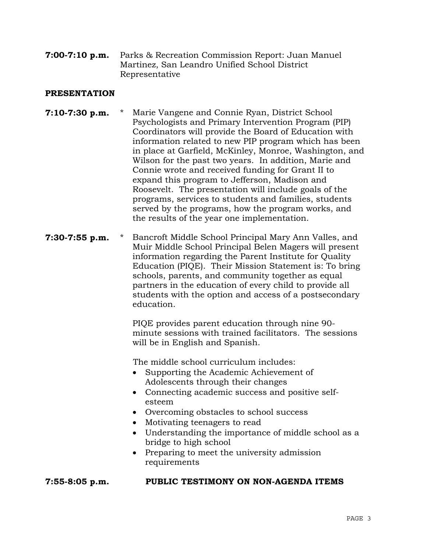**7:00-7:10 p.m.** Parks & Recreation Commission Report: Juan Manuel Martinez, San Leandro Unified School District Representative

## **PRESENTATION**

- **7:10-7:30 p.m.** \* Marie Vangene and Connie Ryan, District School Psychologists and Primary Intervention Program (PIP) Coordinators will provide the Board of Education with information related to new PIP program which has been in place at Garfield, McKinley, Monroe, Washington, and Wilson for the past two years. In addition, Marie and Connie wrote and received funding for Grant II to expand this program to Jefferson, Madison and Roosevelt. The presentation will include goals of the programs, services to students and families, students served by the programs, how the program works, and the results of the year one implementation.
- **7:30-7:55 p.m.** \* Bancroft Middle School Principal Mary Ann Valles, and Muir Middle School Principal Belen Magers will present information regarding the Parent Institute for Quality Education (PIQE). Their Mission Statement is: To bring schools, parents, and community together as equal partners in the education of every child to provide all students with the option and access of a postsecondary education.

 PIQE provides parent education through nine 90 minute sessions with trained facilitators. The sessions will be in English and Spanish.

The middle school curriculum includes:

- Supporting the Academic Achievement of Adolescents through their changes
- Connecting academic success and positive selfesteem
- Overcoming obstacles to school success
- Motivating teenagers to read
- Understanding the importance of middle school as a bridge to high school
- Preparing to meet the university admission requirements

#### **7:55-8:05 p.m. PUBLIC TESTIMONY ON NON-AGENDA ITEMS**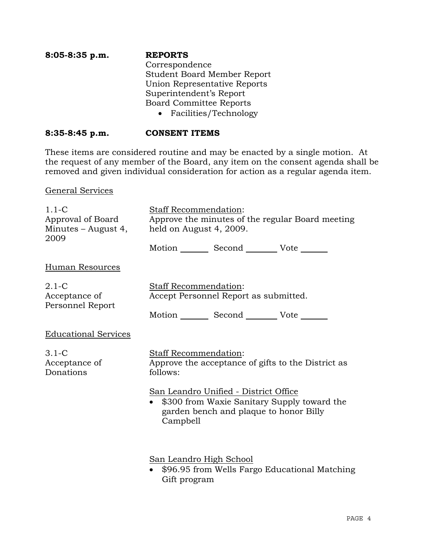| $8:05-8:35$ p.m. | <b>REPORTS</b>                     |
|------------------|------------------------------------|
|                  | Correspondence                     |
|                  | <b>Student Board Member Report</b> |
|                  | Union Representative Reports       |
|                  | Superintendent's Report            |
|                  | <b>Board Committee Reports</b>     |
|                  | • Facilities/Technology            |

## **8:35-8:45 p.m. CONSENT ITEMS**

These items are considered routine and may be enacted by a single motion. At the request of any member of the Board, any item on the consent agenda shall be removed and given individual consideration for action as a regular agenda item.

General Services

| $1.1 - C$<br>Approval of Board<br>Minutes – August 4,<br>2009 | Staff Recommendation:<br>held on August 4, 2009.                                                                                           |                                                 | Approve the minutes of the regular Board meeting   |
|---------------------------------------------------------------|--------------------------------------------------------------------------------------------------------------------------------------------|-------------------------------------------------|----------------------------------------------------|
|                                                               |                                                                                                                                            | Motion _________ Second __________ Vote _______ |                                                    |
| Human Resources                                               |                                                                                                                                            |                                                 |                                                    |
| $2.1-C$<br>Acceptance of<br>Personnel Report                  | <b>Staff Recommendation:</b><br>Accept Personnel Report as submitted.                                                                      | Motion _________ Second __________ Vote _______ |                                                    |
| <b>Educational Services</b>                                   |                                                                                                                                            |                                                 |                                                    |
| $3.1-C$<br>Acceptance of<br>Donations                         | Staff Recommendation:<br>follows:                                                                                                          |                                                 | Approve the acceptance of gifts to the District as |
|                                                               | San Leandro Unified - District Office<br>\$300 from Waxie Sanitary Supply toward the<br>garden bench and plaque to honor Billy<br>Campbell |                                                 |                                                    |
|                                                               | San Leandro High School                                                                                                                    |                                                 |                                                    |

• \$96.95 from Wells Fargo Educational Matching Gift program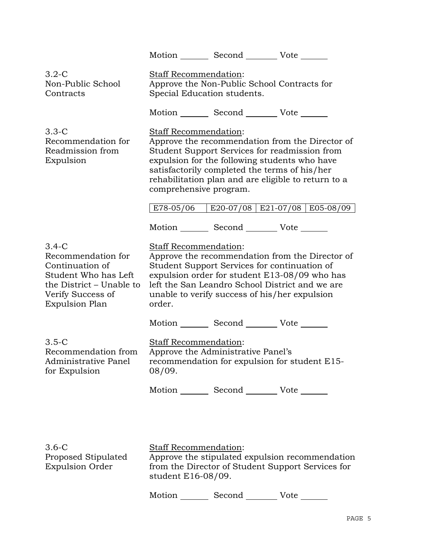| order. |                                                                                                                                                                                                                                                                                                                                                                                                                                                                                                                                                                                                                                                                                                                                                                                                                                                                                                                                                                                                                                                                                                  |
|--------|--------------------------------------------------------------------------------------------------------------------------------------------------------------------------------------------------------------------------------------------------------------------------------------------------------------------------------------------------------------------------------------------------------------------------------------------------------------------------------------------------------------------------------------------------------------------------------------------------------------------------------------------------------------------------------------------------------------------------------------------------------------------------------------------------------------------------------------------------------------------------------------------------------------------------------------------------------------------------------------------------------------------------------------------------------------------------------------------------|
|        |                                                                                                                                                                                                                                                                                                                                                                                                                                                                                                                                                                                                                                                                                                                                                                                                                                                                                                                                                                                                                                                                                                  |
| 08/09. |                                                                                                                                                                                                                                                                                                                                                                                                                                                                                                                                                                                                                                                                                                                                                                                                                                                                                                                                                                                                                                                                                                  |
|        |                                                                                                                                                                                                                                                                                                                                                                                                                                                                                                                                                                                                                                                                                                                                                                                                                                                                                                                                                                                                                                                                                                  |
|        |                                                                                                                                                                                                                                                                                                                                                                                                                                                                                                                                                                                                                                                                                                                                                                                                                                                                                                                                                                                                                                                                                                  |
|        | Motion Second Vote<br>Staff Recommendation:<br>Approve the Non-Public School Contracts for<br>Special Education students.<br>Motion Second Vote ______<br><b>Staff Recommendation:</b><br>Approve the recommendation from the Director of<br>Student Support Services for readmission from<br>expulsion for the following students who have<br>satisfactorily completed the terms of his/her<br>rehabilitation plan and are eligible to return to a<br>comprehensive program.<br>E78-05/06   E20-07/08   E21-07/08   E05-08/09<br>Motion _________ Second ___________ Vote _______<br><b>Staff Recommendation:</b><br>Approve the recommendation from the Director of<br>Student Support Services for continuation of<br>expulsion order for student E13-08/09 who has<br>left the San Leandro School District and we are<br>unable to verify success of his/her expulsion<br>Motion _________ Second __________ Vote _______<br>Staff Recommendation:<br>Approve the Administrative Panel's<br>recommendation for expulsion for student E15-<br>Motion _________ Second __________ Vote _______ |

|  |  | 3.6-C<br>Proposed Stipulated<br><b>Expulsion Order</b> | <b>Staff Recommendation:</b><br>Approve the stipulated expulsion recommendation<br>from the Director of Student Support Services for<br>student $E16-08/09$ . |
|--|--|--------------------------------------------------------|---------------------------------------------------------------------------------------------------------------------------------------------------------------|
|--|--|--------------------------------------------------------|---------------------------------------------------------------------------------------------------------------------------------------------------------------|

Motion \_\_\_\_\_\_\_\_ Second \_\_\_\_\_\_\_\_\_ Vote \_\_\_\_\_\_\_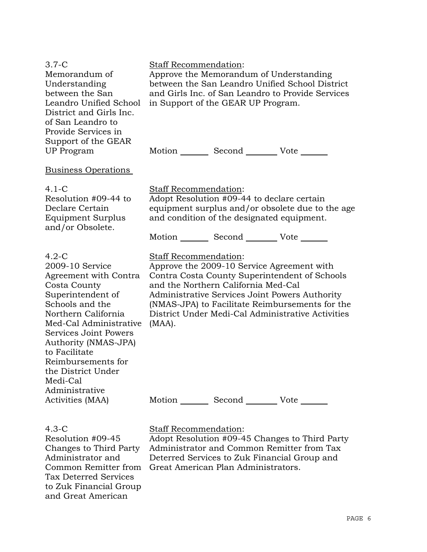| $3.7-C$<br>Memorandum of<br>Understanding<br>between the San<br>Leandro Unified School<br>District and Girls Inc.<br>of San Leandro to<br>Provide Services in<br>Support of the GEAR                                                                                                                                         | Staff Recommendation:           | Approve the Memorandum of Understanding<br>in Support of the GEAR UP Program.                                                               | between the San Leandro Unified School District<br>and Girls Inc. of San Leandro to Provide Services                                                                                                    |
|------------------------------------------------------------------------------------------------------------------------------------------------------------------------------------------------------------------------------------------------------------------------------------------------------------------------------|---------------------------------|---------------------------------------------------------------------------------------------------------------------------------------------|---------------------------------------------------------------------------------------------------------------------------------------------------------------------------------------------------------|
| <b>UP</b> Program                                                                                                                                                                                                                                                                                                            |                                 | Motion _________ Second __________ Vote _______                                                                                             |                                                                                                                                                                                                         |
| <u>Business Operations</u>                                                                                                                                                                                                                                                                                                   |                                 |                                                                                                                                             |                                                                                                                                                                                                         |
| $4.1-C$<br>Resolution #09-44 to<br>Declare Certain<br><b>Equipment Surplus</b><br>and/or Obsolete.                                                                                                                                                                                                                           | Staff Recommendation:           | Adopt Resolution #09-44 to declare certain<br>and condition of the designated equipment.<br>Motion _________ Second __________ Vote _______ | equipment surplus and/or obsolete due to the age                                                                                                                                                        |
| $4.2-C$<br>2009-10 Service<br>Agreement with Contra<br>Costa County<br>Superintendent of<br>Schools and the<br>Northern California<br>Med-Cal Administrative<br>Services Joint Powers<br>Authority (NMAS-JPA)<br>to Facilitate<br>Reimbursements for<br>the District Under<br>Medi-Cal<br>Administrative<br>Activities (MAA) | Staff Recommendation:<br>(MAA). | Approve the 2009-10 Service Agreement with<br>and the Northern California Med-Cal<br>Motion _________ Second _________ Vote _______         | Contra Costa County Superintendent of Schools<br>Administrative Services Joint Powers Authority<br>(NMAS-JPA) to Facilitate Reimbursements for the<br>District Under Medi-Cal Administrative Activities |
| $4.3-C$                                                                                                                                                                                                                                                                                                                      | <b>Staff Recommendation:</b>    |                                                                                                                                             |                                                                                                                                                                                                         |

Resolution #09-45 Changes to Third Party Administrator and Tax Deterred Services to Zuk Financial Group and Great American

Common Remitter from Great American Plan Administrators. Adopt Resolution #09-45 Changes to Third Party Administrator and Common Remitter from Tax Deterred Services to Zuk Financial Group and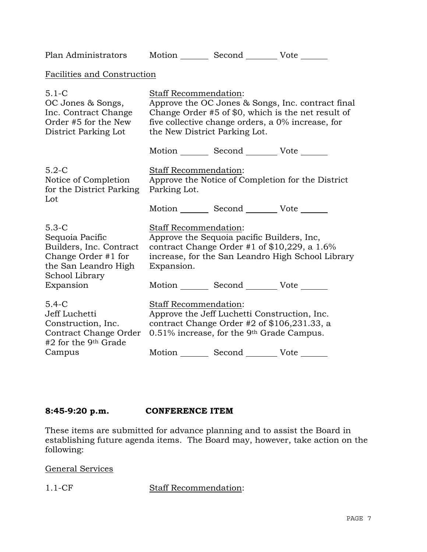| Plan Administrators                                                                                                                 |                                                                                                                                                                                                                               | Motion Second Vote                                                                                                                            |                                                   |  |  |
|-------------------------------------------------------------------------------------------------------------------------------------|-------------------------------------------------------------------------------------------------------------------------------------------------------------------------------------------------------------------------------|-----------------------------------------------------------------------------------------------------------------------------------------------|---------------------------------------------------|--|--|
| Facilities and Construction                                                                                                         |                                                                                                                                                                                                                               |                                                                                                                                               |                                                   |  |  |
| $5.1 - C$<br>OC Jones & Songs,<br>Inc. Contract Change<br>Order #5 for the New<br>District Parking Lot                              | <b>Staff Recommendation:</b><br>Approve the OC Jones & Songs, Inc. contract final<br>Change Order #5 of \$0, which is the net result of<br>five collective change orders, a 0% increase, for<br>the New District Parking Lot. |                                                                                                                                               |                                                   |  |  |
|                                                                                                                                     |                                                                                                                                                                                                                               | Motion _________ Second __________ Vote _______                                                                                               |                                                   |  |  |
| $5.2-C$<br>Notice of Completion<br>for the District Parking<br>Lot                                                                  | Staff Recommendation:<br>Approve the Notice of Completion for the District<br>Parking Lot.                                                                                                                                    |                                                                                                                                               |                                                   |  |  |
|                                                                                                                                     |                                                                                                                                                                                                                               | Motion _________ Second __________ Vote _______                                                                                               |                                                   |  |  |
| $5.3-C$<br>Sequoia Pacific<br>Builders, Inc. Contract<br>Change Order #1 for<br>the San Leandro High<br>School Library<br>Expansion | Staff Recommendation:<br>Expansion.                                                                                                                                                                                           | Approve the Sequoia pacific Builders, Inc,<br>contract Change Order #1 of \$10,229, a 1.6%<br>Motion _________ Second __________ Vote _______ | increase, for the San Leandro High School Library |  |  |
| $5.4-C$<br>Jeff Luchetti<br>Construction, Inc.<br>Contract Change Order<br>#2 for the 9 <sup>th</sup> Grade                         | Staff Recommendation:<br>Approve the Jeff Luchetti Construction, Inc.<br>contract Change Order #2 of $$106,231.33$ , a<br>0.51% increase, for the 9 <sup>th</sup> Grade Campus.                                               |                                                                                                                                               |                                                   |  |  |
| Campus                                                                                                                              |                                                                                                                                                                                                                               | Motion _________ Second __________ Vote _______                                                                                               |                                                   |  |  |

# **8:45-9:20 p.m. CONFERENCE ITEM**

These items are submitted for advance planning and to assist the Board in establishing future agenda items. The Board may, however, take action on the following:

General Services

1.1-CF Staff Recommendation: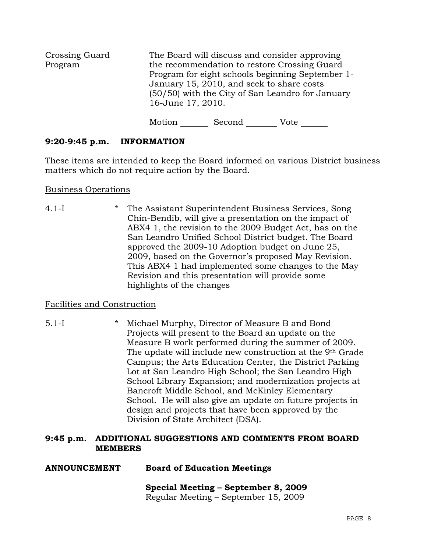| Crossing Guard |                   |                                           | The Board will discuss and consider approving                                                                                                        |  |
|----------------|-------------------|-------------------------------------------|------------------------------------------------------------------------------------------------------------------------------------------------------|--|
| Program        | 16-June 17, 2010. | January 15, 2010, and seek to share costs | the recommendation to restore Crossing Guard<br>Program for eight schools beginning September 1-<br>(50/50) with the City of San Leandro for January |  |
|                | Motion            | Second                                    | Vote                                                                                                                                                 |  |

# **9:20-9:45 p.m. INFORMATION**

These items are intended to keep the Board informed on various District business matters which do not require action by the Board.

#### Business Operations

4.1-I \* The Assistant Superintendent Business Services, Song Chin-Bendib, will give a presentation on the impact of ABX4 1, the revision to the 2009 Budget Act, has on the San Leandro Unified School District budget. The Board approved the 2009-10 Adoption budget on June 25, 2009, based on the Governor's proposed May Revision. This ABX4 1 had implemented some changes to the May Revision and this presentation will provide some highlights of the changes

# Facilities and Construction

5.1-I \* Michael Murphy, Director of Measure B and Bond Projects will present to the Board an update on the Measure B work performed during the summer of 2009. The update will include new construction at the 9th Grade Campus; the Arts Education Center, the District Parking Lot at San Leandro High School; the San Leandro High School Library Expansion; and modernization projects at Bancroft Middle School, and McKinley Elementary School. He will also give an update on future projects in design and projects that have been approved by the Division of State Architect (DSA).

## **9:45 p.m. ADDITIONAL SUGGESTIONS AND COMMENTS FROM BOARD MEMBERS**

# **ANNOUNCEMENT Board of Education Meetings**

# **Special Meeting – September 8, 2009**

Regular Meeting – September 15, 2009